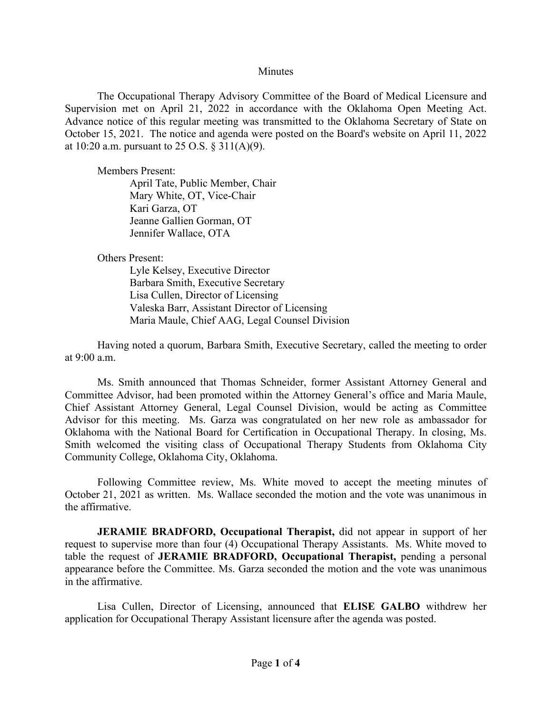#### **Minutes**

The Occupational Therapy Advisory Committee of the Board of Medical Licensure and Supervision met on April 21, 2022 in accordance with the Oklahoma Open Meeting Act. Advance notice of this regular meeting was transmitted to the Oklahoma Secretary of State on October 15, 2021. The notice and agenda were posted on the Board's website on April 11, 2022 at 10:20 a.m. pursuant to 25 O.S. § 311(A)(9).

Members Present:

April Tate, Public Member, Chair Mary White, OT, Vice-Chair Kari Garza, OT Jeanne Gallien Gorman, OT Jennifer Wallace, OTA

Others Present:

Lyle Kelsey, Executive Director Barbara Smith, Executive Secretary Lisa Cullen, Director of Licensing Valeska Barr, Assistant Director of Licensing Maria Maule, Chief AAG, Legal Counsel Division

Having noted a quorum, Barbara Smith, Executive Secretary, called the meeting to order at 9:00 a.m.

Ms. Smith announced that Thomas Schneider, former Assistant Attorney General and Committee Advisor, had been promoted within the Attorney General's office and Maria Maule, Chief Assistant Attorney General, Legal Counsel Division, would be acting as Committee Advisor for this meeting. Ms. Garza was congratulated on her new role as ambassador for Oklahoma with the National Board for Certification in Occupational Therapy. In closing, Ms. Smith welcomed the visiting class of Occupational Therapy Students from Oklahoma City Community College, Oklahoma City, Oklahoma.

Following Committee review, Ms. White moved to accept the meeting minutes of October 21, 2021 as written. Ms. Wallace seconded the motion and the vote was unanimous in the affirmative.

**JERAMIE BRADFORD, Occupational Therapist,** did not appear in support of her request to supervise more than four (4) Occupational Therapy Assistants. Ms. White moved to table the request of **JERAMIE BRADFORD, Occupational Therapist,** pending a personal appearance before the Committee. Ms. Garza seconded the motion and the vote was unanimous in the affirmative.

Lisa Cullen, Director of Licensing, announced that **ELISE GALBO** withdrew her application for Occupational Therapy Assistant licensure after the agenda was posted.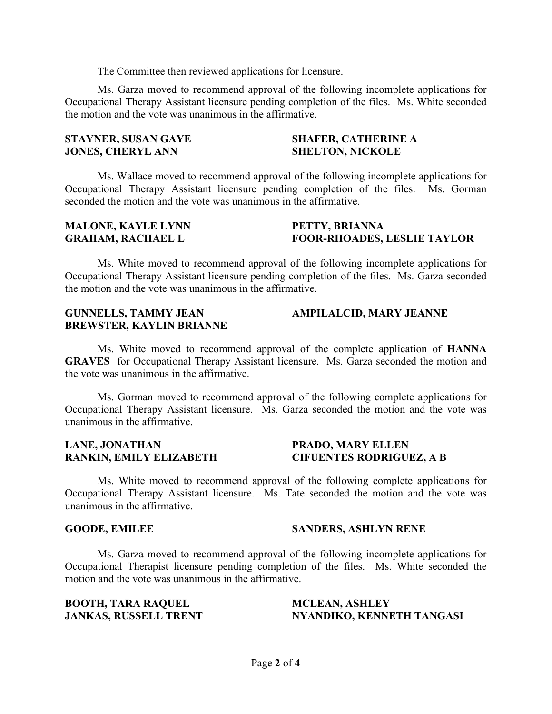The Committee then reviewed applications for licensure.

Ms. Garza moved to recommend approval of the following incomplete applications for Occupational Therapy Assistant licensure pending completion of the files. Ms. White seconded the motion and the vote was unanimous in the affirmative.

# **STAYNER, SUSAN GAYE JONES, CHERYL ANN**

### **SHAFER, CATHERINE A SHELTON, NICKOLE**

Ms. Wallace moved to recommend approval of the following incomplete applications for Occupational Therapy Assistant licensure pending completion of the files. Ms. Gorman seconded the motion and the vote was unanimous in the affirmative.

#### **MALONE, KAYLE LYNN GRAHAM, RACHAEL L**

#### **PETTY, BRIANNA FOOR-RHOADES, LESLIE TAYLOR**

Ms. White moved to recommend approval of the following incomplete applications for Occupational Therapy Assistant licensure pending completion of the files. Ms. Garza seconded the motion and the vote was unanimous in the affirmative.

#### **GUNNELLS, TAMMY JEAN BREWSTER, KAYLIN BRIANNE AMPILALCID, MARY JEANNE**

Ms. White moved to recommend approval of the complete application of **HANNA GRAVES** for Occupational Therapy Assistant licensure. Ms. Garza seconded the motion and the vote was unanimous in the affirmative.

Ms. Gorman moved to recommend approval of the following complete applications for Occupational Therapy Assistant licensure. Ms. Garza seconded the motion and the vote was unanimous in the affirmative.

#### **LANE, JONATHAN RANKIN, EMILY ELIZABETH**

#### **PRADO, MARY ELLEN CIFUENTES RODRIGUEZ, A B**

Ms. White moved to recommend approval of the following complete applications for Occupational Therapy Assistant licensure. Ms. Tate seconded the motion and the vote was unanimous in the affirmative.

#### **GOODE, EMILEE SANDERS, ASHLYN RENE**

Ms. Garza moved to recommend approval of the following incomplete applications for Occupational Therapist licensure pending completion of the files. Ms. White seconded the motion and the vote was unanimous in the affirmative.

**BOOTH, TARA RAQUEL JANKAS, RUSSELL TRENT** 

#### **MCLEAN, ASHLEY NYANDIKO, KENNETH TANGASI**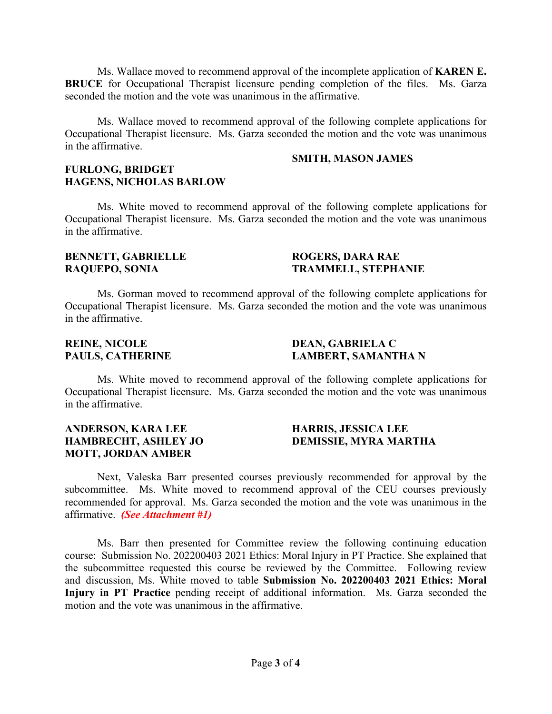Ms. Wallace moved to recommend approval of the incomplete application of **KAREN E. BRUCE** for Occupational Therapist licensure pending completion of the files. Ms. Garza seconded the motion and the vote was unanimous in the affirmative.

Ms. Wallace moved to recommend approval of the following complete applications for Occupational Therapist licensure. Ms. Garza seconded the motion and the vote was unanimous in the affirmative.

#### **SMITH, MASON JAMES**

#### **FURLONG, BRIDGET HAGENS, NICHOLAS BARLOW**

Ms. White moved to recommend approval of the following complete applications for Occupational Therapist licensure. Ms. Garza seconded the motion and the vote was unanimous in the affirmative.

# **BENNETT, GABRIELLE RAQUEPO, SONIA**

#### **ROGERS, DARA RAE TRAMMELL, STEPHANIE**

Ms. Gorman moved to recommend approval of the following complete applications for Occupational Therapist licensure. Ms. Garza seconded the motion and the vote was unanimous in the affirmative.

# **REINE, NICOLE PAULS, CATHERINE**

# **DEAN, GABRIELA C LAMBERT, SAMANTHA N**

Ms. White moved to recommend approval of the following complete applications for Occupational Therapist licensure. Ms. Garza seconded the motion and the vote was unanimous in the affirmative.

# **ANDERSON, KARA LEE HAMBRECHT, ASHLEY JO MOTT, JORDAN AMBER**

# **HARRIS, JESSICA LEE DEMISSIE, MYRA MARTHA**

Next, Valeska Barr presented courses previously recommended for approval by the subcommittee. Ms. White moved to recommend approval of the CEU courses previously recommended for approval. Ms. Garza seconded the motion and the vote was unanimous in the affirmative. *(See Attachment #1)*

Ms. Barr then presented for Committee review the following continuing education course: Submission No. 202200403 2021 Ethics: Moral Injury in PT Practice. She explained that the subcommittee requested this course be reviewed by the Committee. Following review and discussion, Ms. White moved to table **Submission No. 202200403 2021 Ethics: Moral Injury in PT Practice** pending receipt of additional information. Ms. Garza seconded the motion and the vote was unanimous in the affirmative.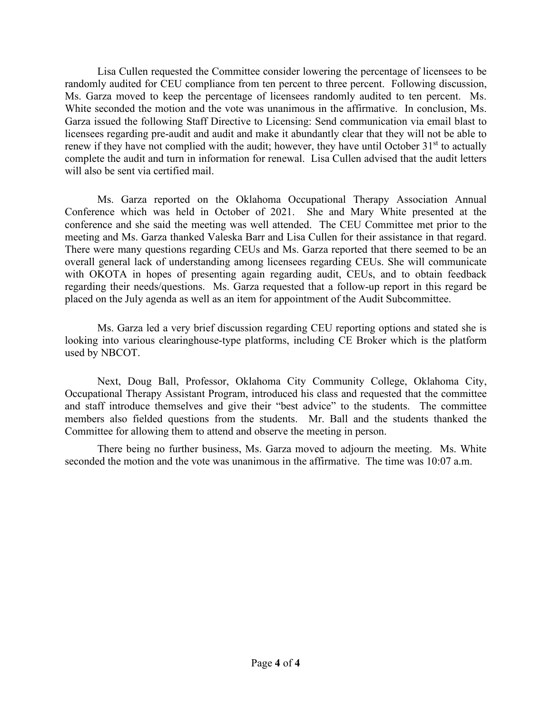Lisa Cullen requested the Committee consider lowering the percentage of licensees to be randomly audited for CEU compliance from ten percent to three percent. Following discussion, Ms. Garza moved to keep the percentage of licensees randomly audited to ten percent. Ms. White seconded the motion and the vote was unanimous in the affirmative. In conclusion, Ms. Garza issued the following Staff Directive to Licensing: Send communication via email blast to licensees regarding pre-audit and audit and make it abundantly clear that they will not be able to renew if they have not complied with the audit; however, they have until October  $31<sup>st</sup>$  to actually complete the audit and turn in information for renewal. Lisa Cullen advised that the audit letters will also be sent via certified mail.

Ms. Garza reported on the Oklahoma Occupational Therapy Association Annual Conference which was held in October of 2021. She and Mary White presented at the conference and she said the meeting was well attended. The CEU Committee met prior to the meeting and Ms. Garza thanked Valeska Barr and Lisa Cullen for their assistance in that regard. There were many questions regarding CEUs and Ms. Garza reported that there seemed to be an overall general lack of understanding among licensees regarding CEUs. She will communicate with OKOTA in hopes of presenting again regarding audit, CEUs, and to obtain feedback regarding their needs/questions. Ms. Garza requested that a follow-up report in this regard be placed on the July agenda as well as an item for appointment of the Audit Subcommittee.

Ms. Garza led a very brief discussion regarding CEU reporting options and stated she is looking into various clearinghouse-type platforms, including CE Broker which is the platform used by NBCOT.

Next, Doug Ball, Professor, Oklahoma City Community College, Oklahoma City, Occupational Therapy Assistant Program, introduced his class and requested that the committee and staff introduce themselves and give their "best advice" to the students. The committee members also fielded questions from the students. Mr. Ball and the students thanked the Committee for allowing them to attend and observe the meeting in person.

There being no further business, Ms. Garza moved to adjourn the meeting. Ms. White seconded the motion and the vote was unanimous in the affirmative. The time was 10:07 a.m.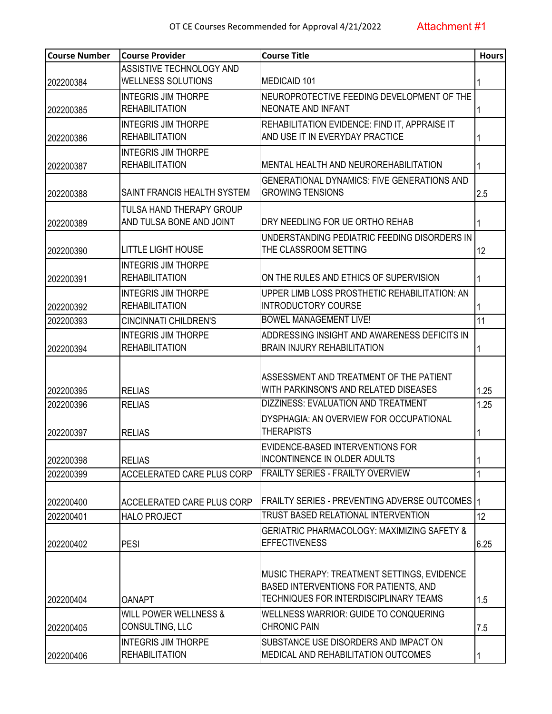| <b>Course Number</b> | <b>Course Provider</b>            | <b>Course Title</b>                                    | <b>Hours</b> |
|----------------------|-----------------------------------|--------------------------------------------------------|--------------|
|                      | ASSISTIVE TECHNOLOGY AND          |                                                        |              |
| 202200384            | <b>WELLNESS SOLUTIONS</b>         | <b>MEDICAID 101</b>                                    |              |
|                      | <b>INTEGRIS JIM THORPE</b>        | NEUROPROTECTIVE FEEDING DEVELOPMENT OF THE             |              |
| 202200385            | <b>REHABILITATION</b>             | <b>NEONATE AND INFANT</b>                              |              |
|                      | <b>INTEGRIS JIM THORPE</b>        | REHABILITATION EVIDENCE: FIND IT, APPRAISE IT          |              |
| 202200386            | <b>REHABILITATION</b>             | AND USE IT IN EVERYDAY PRACTICE                        |              |
|                      | <b>INTEGRIS JIM THORPE</b>        |                                                        |              |
| 202200387            | <b>REHABILITATION</b>             | MENTAL HEALTH AND NEUROREHABILITATION                  |              |
|                      |                                   | <b>GENERATIONAL DYNAMICS: FIVE GENERATIONS AND</b>     |              |
| 202200388            | SAINT FRANCIS HEALTH SYSTEM       | <b>GROWING TENSIONS</b>                                | 2.5          |
|                      | <b>TULSA HAND THERAPY GROUP</b>   |                                                        |              |
| 202200389            | AND TULSA BONE AND JOINT          | DRY NEEDLING FOR UE ORTHO REHAB                        |              |
|                      |                                   | UNDERSTANDING PEDIATRIC FEEDING DISORDERS IN           |              |
| 202200390            | <b>LITTLE LIGHT HOUSE</b>         | THE CLASSROOM SETTING                                  | 12           |
|                      | <b>INTEGRIS JIM THORPE</b>        |                                                        |              |
| 202200391            | <b>REHABILITATION</b>             | ON THE RULES AND ETHICS OF SUPERVISION                 |              |
|                      | <b>INTEGRIS JIM THORPE</b>        | UPPER LIMB LOSS PROSTHETIC REHABILITATION: AN          |              |
| 202200392            | <b>REHABILITATION</b>             | <b>INTRODUCTORY COURSE</b>                             |              |
| 202200393            | <b>CINCINNATI CHILDREN'S</b>      | <b>BOWEL MANAGEMENT LIVE!</b>                          | 11           |
|                      | <b>INTEGRIS JIM THORPE</b>        | ADDRESSING INSIGHT AND AWARENESS DEFICITS IN           |              |
| 202200394            | <b>REHABILITATION</b>             | <b>BRAIN INJURY REHABILITATION</b>                     |              |
|                      |                                   |                                                        |              |
|                      |                                   | ASSESSMENT AND TREATMENT OF THE PATIENT                |              |
| 202200395            | <b>RELIAS</b>                     | WITH PARKINSON'S AND RELATED DISEASES                  | 1.25         |
| 202200396            | <b>RELIAS</b>                     | <b>DIZZINESS: EVALUATION AND TREATMENT</b>             | 1.25         |
|                      |                                   | DYSPHAGIA: AN OVERVIEW FOR OCCUPATIONAL                |              |
| 202200397            | <b>RELIAS</b>                     | <b>THERAPISTS</b>                                      |              |
|                      |                                   | EVIDENCE-BASED INTERVENTIONS FOR                       |              |
| 202200398            | <b>RELIAS</b>                     | <b>INCONTINENCE IN OLDER ADULTS</b>                    |              |
| 202200399            | <b>ACCELERATED CARE PLUS CORP</b> | <b>FRAILTY SERIES - FRAILTY OVERVIEW</b>               |              |
|                      |                                   |                                                        |              |
| 202200400            | ACCELERATED CARE PLUS CORP        | <b>FRAILTY SERIES - PREVENTING ADVERSE OUTCOMES</b>    | 1            |
| 202200401            | <b>HALO PROJECT</b>               | TRUST BASED RELATIONAL INTERVENTION                    | 12           |
|                      |                                   | <b>GERIATRIC PHARMACOLOGY: MAXIMIZING SAFETY &amp;</b> |              |
| 202200402            | <b>PESI</b>                       | <b>EFFECTIVENESS</b>                                   | 6.25         |
|                      |                                   |                                                        |              |
|                      |                                   | MUSIC THERAPY: TREATMENT SETTINGS, EVIDENCE            |              |
|                      |                                   | BASED INTERVENTIONS FOR PATIENTS, AND                  |              |
| 202200404            | OANAPT                            | TECHNIQUES FOR INTERDISCIPLINARY TEAMS                 | 1.5          |
|                      | <b>WILL POWER WELLNESS &amp;</b>  | WELLNESS WARRIOR: GUIDE TO CONQUERING                  |              |
| 202200405            | CONSULTING, LLC                   | <b>CHRONIC PAIN</b>                                    | 7.5          |
|                      | <b>INTEGRIS JIM THORPE</b>        | SUBSTANCE USE DISORDERS AND IMPACT ON                  |              |
| 202200406            | <b>REHABILITATION</b>             | MEDICAL AND REHABILITATION OUTCOMES                    |              |